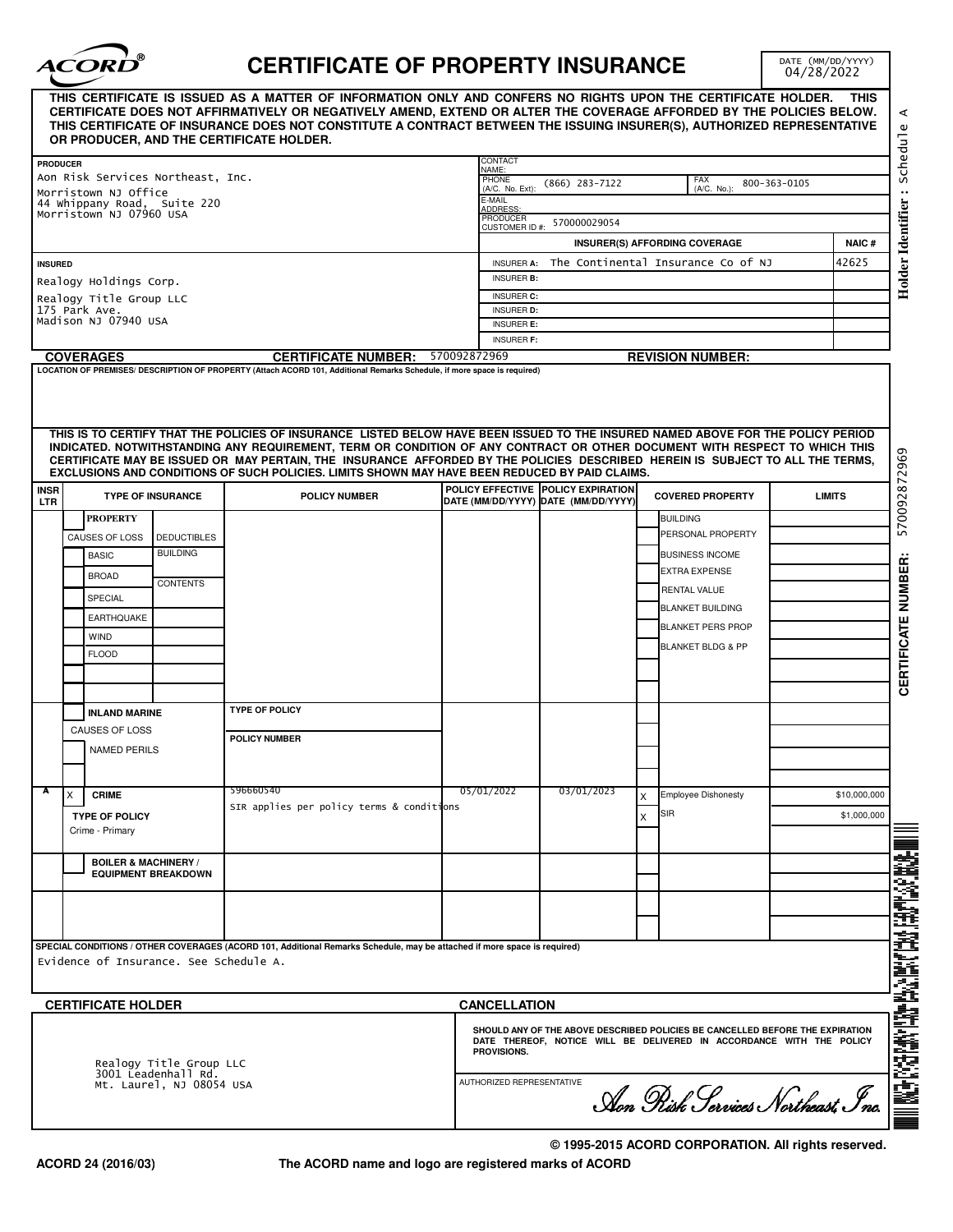

## **CERTIFICATE OF PROPERTY INSURANCE**

DATE (MM/DD/YYYY)<br>04/28/2022

|                                                |                                                           |                            | OR PRODUCER, AND THE CERTIFICATE HOLDER.                                                                                                                                                                                                                                                                                                                                                                                                                                                           |                                                                                    |                                                                                                                                                                      |   |                               |               |              |  |
|------------------------------------------------|-----------------------------------------------------------|----------------------------|----------------------------------------------------------------------------------------------------------------------------------------------------------------------------------------------------------------------------------------------------------------------------------------------------------------------------------------------------------------------------------------------------------------------------------------------------------------------------------------------------|------------------------------------------------------------------------------------|----------------------------------------------------------------------------------------------------------------------------------------------------------------------|---|-------------------------------|---------------|--------------|--|
| <b>PRODUCER</b>                                |                                                           |                            |                                                                                                                                                                                                                                                                                                                                                                                                                                                                                                    | CONTACT<br>NAME:                                                                   |                                                                                                                                                                      |   |                               |               |              |  |
|                                                | Aon Risk Services Northeast, Inc.<br>Morristown NJ Office |                            |                                                                                                                                                                                                                                                                                                                                                                                                                                                                                                    | PHONE<br>FAX<br>$(866)$ 283-7122<br>800-363-0105<br>(A/C. No.):<br>(A/C. No. Ext): |                                                                                                                                                                      |   |                               |               |              |  |
|                                                | 44 Whippany Road, Suite 220<br>Morristown NJ 07960 USA    |                            |                                                                                                                                                                                                                                                                                                                                                                                                                                                                                                    | E-MAIL<br><b>NDDRESS</b>                                                           |                                                                                                                                                                      |   |                               |               |              |  |
|                                                |                                                           |                            |                                                                                                                                                                                                                                                                                                                                                                                                                                                                                                    | PRODUCER<br><b>CUSTOMER ID#:</b>                                                   | 570000029054                                                                                                                                                         |   |                               |               |              |  |
|                                                |                                                           |                            |                                                                                                                                                                                                                                                                                                                                                                                                                                                                                                    |                                                                                    |                                                                                                                                                                      |   | INSURER(S) AFFORDING COVERAGE |               | <b>NAIC#</b> |  |
| <b>INSURED</b>                                 |                                                           |                            |                                                                                                                                                                                                                                                                                                                                                                                                                                                                                                    | The Continental Insurance Co of NJ<br><b>INSURER A:</b>                            |                                                                                                                                                                      |   |                               |               | 42625        |  |
|                                                | Realogy Holdings Corp.                                    |                            |                                                                                                                                                                                                                                                                                                                                                                                                                                                                                                    | <b>INSURER B:</b>                                                                  |                                                                                                                                                                      |   |                               |               |              |  |
|                                                | Realogy Title Group LLC                                   |                            |                                                                                                                                                                                                                                                                                                                                                                                                                                                                                                    | <b>INSURER C:</b>                                                                  |                                                                                                                                                                      |   |                               |               |              |  |
|                                                | 175 Park Ave.<br>Madison NJ 07940 USA                     |                            |                                                                                                                                                                                                                                                                                                                                                                                                                                                                                                    | <b>INSURER D:</b>                                                                  |                                                                                                                                                                      |   |                               |               |              |  |
|                                                |                                                           |                            |                                                                                                                                                                                                                                                                                                                                                                                                                                                                                                    | <b>INSURER E:</b><br><b>INSURER F:</b>                                             |                                                                                                                                                                      |   |                               |               |              |  |
|                                                | <b>COVERAGES</b>                                          |                            | <b>CERTIFICATE NUMBER:</b>                                                                                                                                                                                                                                                                                                                                                                                                                                                                         | 570092872969                                                                       |                                                                                                                                                                      |   | <b>REVISION NUMBER:</b>       |               |              |  |
|                                                |                                                           |                            | THIS IS TO CERTIFY THAT THE POLICIES OF INSURANCE LISTED BELOW HAVE BEEN ISSUED TO THE INSURED NAMED ABOVE FOR THE POLICY PERIOD<br>INDICATED. NOTWITHSTANDING ANY REQUIREMENT, TERM OR CONDITION OF ANY CONTRACT OR OTHER DOCUMENT WITH RESPECT TO WHICH THIS<br>CERTIFICATE MAY BE ISSUED OR MAY PERTAIN, THE INSURANCE AFFORDED BY THE POLICIES DESCRIBED HEREIN IS SUBJECT TO ALL THE TERMS,<br>EXCLUSIONS AND CONDITIONS OF SUCH POLICIES. LIMITS SHOWN MAY HAVE BEEN REDUCED BY PAID CLAIMS. |                                                                                    |                                                                                                                                                                      |   |                               |               |              |  |
| <b>INSR</b><br><b>LTR</b>                      |                                                           | <b>TYPE OF INSURANCE</b>   | <b>POLICY NUMBER</b>                                                                                                                                                                                                                                                                                                                                                                                                                                                                               |                                                                                    | POLICY EFFECTIVE POLICY EXPIRATION<br>DATE (MM/DD/YYYY) DATE (MM/DD/YYYY)                                                                                            |   | <b>COVERED PROPERTY</b>       | <b>LIMITS</b> |              |  |
|                                                | <b>PROPERTY</b>                                           |                            |                                                                                                                                                                                                                                                                                                                                                                                                                                                                                                    |                                                                                    |                                                                                                                                                                      |   | <b>BUILDING</b>               |               |              |  |
|                                                | CAUSES OF LOSS                                            | <b>DEDUCTIBLES</b>         |                                                                                                                                                                                                                                                                                                                                                                                                                                                                                                    |                                                                                    |                                                                                                                                                                      |   | PERSONAL PROPERTY             |               |              |  |
|                                                | <b>BASIC</b>                                              | <b>BUILDING</b>            |                                                                                                                                                                                                                                                                                                                                                                                                                                                                                                    |                                                                                    |                                                                                                                                                                      |   | <b>BUSINESS INCOME</b>        |               |              |  |
|                                                | <b>BROAD</b>                                              |                            |                                                                                                                                                                                                                                                                                                                                                                                                                                                                                                    |                                                                                    |                                                                                                                                                                      |   | <b>EXTRA EXPENSE</b>          |               |              |  |
|                                                |                                                           | <b>CONTENTS</b>            |                                                                                                                                                                                                                                                                                                                                                                                                                                                                                                    |                                                                                    |                                                                                                                                                                      |   | <b>RENTAL VALUE</b>           |               |              |  |
|                                                | SPECIAL                                                   |                            |                                                                                                                                                                                                                                                                                                                                                                                                                                                                                                    |                                                                                    |                                                                                                                                                                      |   | <b>BLANKET BUILDING</b>       |               |              |  |
|                                                | <b>EARTHQUAKE</b>                                         |                            |                                                                                                                                                                                                                                                                                                                                                                                                                                                                                                    |                                                                                    |                                                                                                                                                                      |   | <b>BLANKET PERS PROP</b>      |               |              |  |
|                                                | <b>WIND</b>                                               |                            |                                                                                                                                                                                                                                                                                                                                                                                                                                                                                                    |                                                                                    |                                                                                                                                                                      |   | <b>BLANKET BLDG &amp; PP</b>  |               |              |  |
|                                                | <b>FLOOD</b>                                              |                            |                                                                                                                                                                                                                                                                                                                                                                                                                                                                                                    |                                                                                    |                                                                                                                                                                      |   |                               |               |              |  |
|                                                |                                                           |                            |                                                                                                                                                                                                                                                                                                                                                                                                                                                                                                    |                                                                                    |                                                                                                                                                                      |   |                               |               |              |  |
|                                                |                                                           |                            |                                                                                                                                                                                                                                                                                                                                                                                                                                                                                                    |                                                                                    |                                                                                                                                                                      |   |                               |               |              |  |
|                                                | <b>INLAND MARINE</b>                                      |                            | <b>TYPE OF POLICY</b>                                                                                                                                                                                                                                                                                                                                                                                                                                                                              |                                                                                    |                                                                                                                                                                      |   |                               |               |              |  |
|                                                | CAUSES OF LOSS                                            |                            | <b>POLICY NUMBER</b>                                                                                                                                                                                                                                                                                                                                                                                                                                                                               |                                                                                    |                                                                                                                                                                      |   |                               |               |              |  |
|                                                | <b>NAMED PERILS</b>                                       |                            |                                                                                                                                                                                                                                                                                                                                                                                                                                                                                                    |                                                                                    |                                                                                                                                                                      |   |                               |               |              |  |
|                                                |                                                           |                            |                                                                                                                                                                                                                                                                                                                                                                                                                                                                                                    |                                                                                    |                                                                                                                                                                      |   |                               |               |              |  |
| х                                              | <b>CRIME</b>                                              |                            | 596660540                                                                                                                                                                                                                                                                                                                                                                                                                                                                                          | 05/01/2022                                                                         | 03/01/2023                                                                                                                                                           | X | <b>Employee Dishonesty</b>    |               | \$10,000,000 |  |
|                                                |                                                           |                            | SIR applies per policy terms & conditions                                                                                                                                                                                                                                                                                                                                                                                                                                                          |                                                                                    |                                                                                                                                                                      |   | SIR                           |               |              |  |
|                                                | <b>TYPE OF POLICY</b><br>Crime - Primary                  |                            |                                                                                                                                                                                                                                                                                                                                                                                                                                                                                                    |                                                                                    |                                                                                                                                                                      | X |                               |               | \$1,000,000  |  |
|                                                |                                                           |                            |                                                                                                                                                                                                                                                                                                                                                                                                                                                                                                    |                                                                                    |                                                                                                                                                                      |   |                               |               |              |  |
|                                                | <b>BOILER &amp; MACHINERY /</b>                           |                            |                                                                                                                                                                                                                                                                                                                                                                                                                                                                                                    |                                                                                    |                                                                                                                                                                      |   |                               |               |              |  |
|                                                |                                                           | <b>EQUIPMENT BREAKDOWN</b> |                                                                                                                                                                                                                                                                                                                                                                                                                                                                                                    |                                                                                    |                                                                                                                                                                      |   |                               |               |              |  |
|                                                |                                                           |                            |                                                                                                                                                                                                                                                                                                                                                                                                                                                                                                    |                                                                                    |                                                                                                                                                                      |   |                               |               |              |  |
|                                                |                                                           |                            |                                                                                                                                                                                                                                                                                                                                                                                                                                                                                                    |                                                                                    |                                                                                                                                                                      |   |                               |               |              |  |
|                                                |                                                           |                            |                                                                                                                                                                                                                                                                                                                                                                                                                                                                                                    |                                                                                    |                                                                                                                                                                      |   |                               |               |              |  |
|                                                |                                                           |                            | SPECIAL CONDITIONS / OTHER COVERAGES (ACORD 101, Additional Remarks Schedule, may be attached if more space is required)                                                                                                                                                                                                                                                                                                                                                                           |                                                                                    |                                                                                                                                                                      |   |                               |               |              |  |
|                                                | Evidence of Insurance. See Schedule A.                    |                            |                                                                                                                                                                                                                                                                                                                                                                                                                                                                                                    |                                                                                    |                                                                                                                                                                      |   |                               |               |              |  |
|                                                |                                                           |                            |                                                                                                                                                                                                                                                                                                                                                                                                                                                                                                    |                                                                                    |                                                                                                                                                                      |   |                               |               |              |  |
|                                                | <b>CERTIFICATE HOLDER</b>                                 |                            |                                                                                                                                                                                                                                                                                                                                                                                                                                                                                                    | <b>CANCELLATION</b>                                                                |                                                                                                                                                                      |   |                               |               |              |  |
| Realogy Title Group LLC<br>3001 Leadenhall Rd. |                                                           |                            |                                                                                                                                                                                                                                                                                                                                                                                                                                                                                                    |                                                                                    | SHOULD ANY OF THE ABOVE DESCRIBED POLICIES BE CANCELLED BEFORE THE EXPIRATION<br>DATE THEREOF, NOTICE WILL BE DELIVERED IN ACCORDANCE WITH THE POLICY<br>PROVISIONS. |   |                               |               |              |  |
|                                                |                                                           |                            |                                                                                                                                                                                                                                                                                                                                                                                                                                                                                                    |                                                                                    | AUTHORIZED REPRESENTATIVE<br>Aon Pisk Services Northeast Inc.                                                                                                        |   |                               |               |              |  |

**© 1995-2015 ACORD CORPORATION. All rights reserved.**

**The ACORD name and logo are registered marks of ACORD**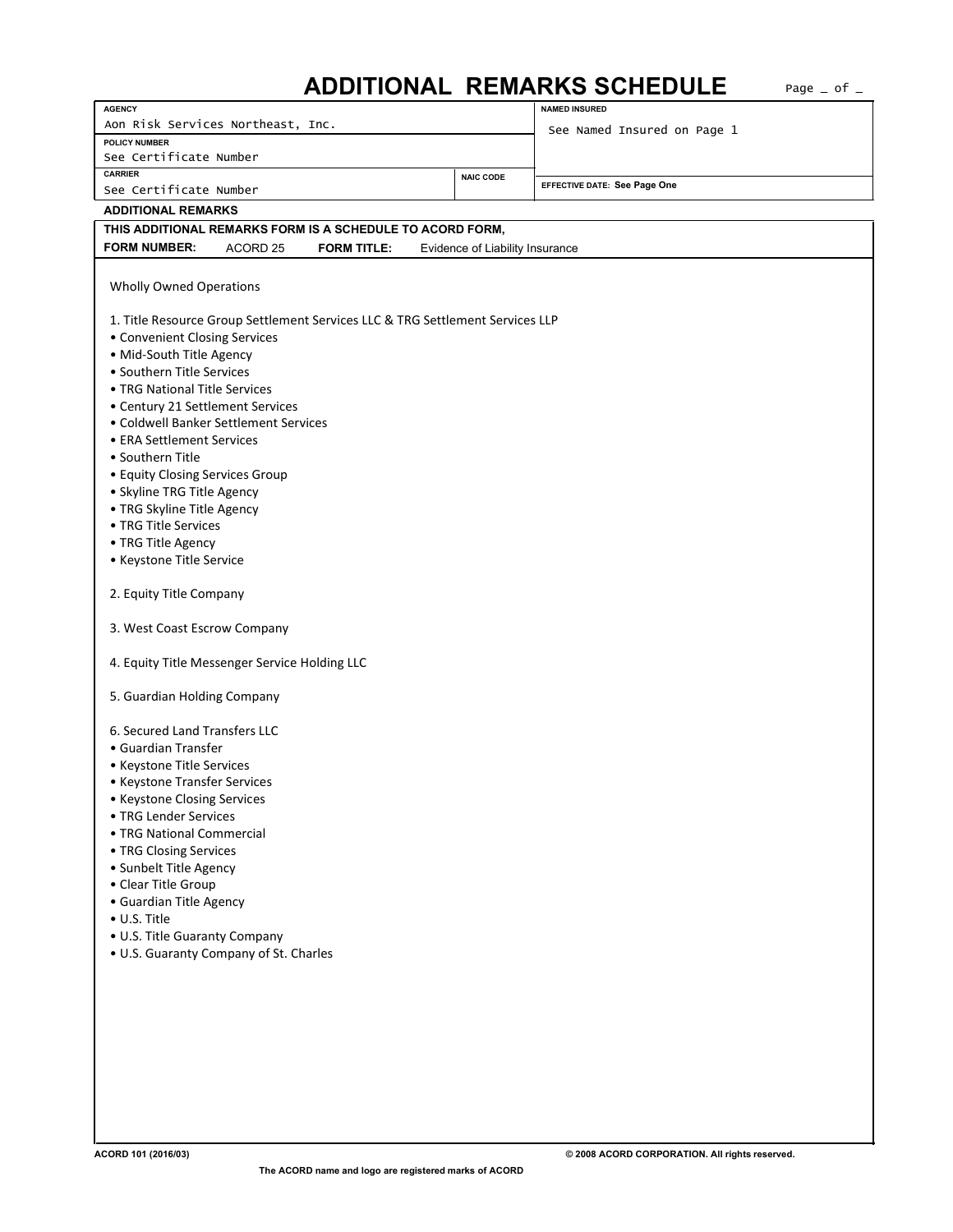## ADDITIONAL REMARKS SCHEDULE Page \_ of \_

| <b>AGENCY</b>                                                                 |                               |                    |                             |                                 | <b>NAMED INSURED</b>         |  |  |  |  |  |
|-------------------------------------------------------------------------------|-------------------------------|--------------------|-----------------------------|---------------------------------|------------------------------|--|--|--|--|--|
| Aon Risk Services Northeast, Inc.                                             |                               |                    | See Named Insured on Page 1 |                                 |                              |  |  |  |  |  |
| <b>POLICY NUMBER</b>                                                          |                               |                    |                             |                                 |                              |  |  |  |  |  |
| See Certificate Number                                                        |                               |                    |                             |                                 |                              |  |  |  |  |  |
| <b>CARRIER</b>                                                                |                               |                    | <b>NAIC CODE</b>            |                                 |                              |  |  |  |  |  |
| See Certificate Number                                                        |                               |                    |                             |                                 | EFFECTIVE DATE: See Page One |  |  |  |  |  |
| <b>ADDITIONAL REMARKS</b>                                                     |                               |                    |                             |                                 |                              |  |  |  |  |  |
| THIS ADDITIONAL REMARKS FORM IS A SCHEDULE TO ACORD FORM,                     |                               |                    |                             |                                 |                              |  |  |  |  |  |
| <b>FORM NUMBER:</b>                                                           | ACORD <sub>25</sub>           | <b>FORM TITLE:</b> |                             | Evidence of Liability Insurance |                              |  |  |  |  |  |
|                                                                               |                               |                    |                             |                                 |                              |  |  |  |  |  |
| <b>Wholly Owned Operations</b>                                                |                               |                    |                             |                                 |                              |  |  |  |  |  |
|                                                                               |                               |                    |                             |                                 |                              |  |  |  |  |  |
| 1. Title Resource Group Settlement Services LLC & TRG Settlement Services LLP |                               |                    |                             |                                 |                              |  |  |  |  |  |
|                                                                               | • Convenient Closing Services |                    |                             |                                 |                              |  |  |  |  |  |
| • Mid-South Title Agency                                                      |                               |                    |                             |                                 |                              |  |  |  |  |  |
| • Southern Title Services                                                     |                               |                    |                             |                                 |                              |  |  |  |  |  |
| • TRG National Title Services                                                 |                               |                    |                             |                                 |                              |  |  |  |  |  |
| • Century 21 Settlement Services                                              |                               |                    |                             |                                 |                              |  |  |  |  |  |
| • Coldwell Banker Settlement Services                                         |                               |                    |                             |                                 |                              |  |  |  |  |  |
| • ERA Settlement Services                                                     |                               |                    |                             |                                 |                              |  |  |  |  |  |
| • Southern Title                                                              |                               |                    |                             |                                 |                              |  |  |  |  |  |
| • Equity Closing Services Group                                               |                               |                    |                             |                                 |                              |  |  |  |  |  |
| · Skyline TRG Title Agency                                                    |                               |                    |                             |                                 |                              |  |  |  |  |  |
| · TRG Skyline Title Agency                                                    |                               |                    |                             |                                 |                              |  |  |  |  |  |
| • TRG Title Services                                                          |                               |                    |                             |                                 |                              |  |  |  |  |  |
| • TRG Title Agency                                                            |                               |                    |                             |                                 |                              |  |  |  |  |  |
| • Keystone Title Service                                                      |                               |                    |                             |                                 |                              |  |  |  |  |  |
|                                                                               |                               |                    |                             |                                 |                              |  |  |  |  |  |
| 2. Equity Title Company                                                       |                               |                    |                             |                                 |                              |  |  |  |  |  |
| 3. West Coast Escrow Company                                                  |                               |                    |                             |                                 |                              |  |  |  |  |  |
|                                                                               |                               |                    |                             |                                 |                              |  |  |  |  |  |
| 4. Equity Title Messenger Service Holding LLC                                 |                               |                    |                             |                                 |                              |  |  |  |  |  |
|                                                                               |                               |                    |                             |                                 |                              |  |  |  |  |  |
| 5. Guardian Holding Company                                                   |                               |                    |                             |                                 |                              |  |  |  |  |  |
|                                                                               |                               |                    |                             |                                 |                              |  |  |  |  |  |
| 6. Secured Land Transfers LLC                                                 |                               |                    |                             |                                 |                              |  |  |  |  |  |
| • Guardian Transfer                                                           |                               |                    |                             |                                 |                              |  |  |  |  |  |
| • Keystone Title Services                                                     |                               |                    |                             |                                 |                              |  |  |  |  |  |
| • Keystone Transfer Services                                                  |                               |                    |                             |                                 |                              |  |  |  |  |  |
| • Keystone Closing Services                                                   |                               |                    |                             |                                 |                              |  |  |  |  |  |
|                                                                               | • TRG Lender Services         |                    |                             |                                 |                              |  |  |  |  |  |
| • TRG National Commercial                                                     |                               |                    |                             |                                 |                              |  |  |  |  |  |
| • TRG Closing Services                                                        |                               |                    |                             |                                 |                              |  |  |  |  |  |
| • Sunbelt Title Agency                                                        |                               |                    |                             |                                 |                              |  |  |  |  |  |
| • Clear Title Group                                                           |                               |                    |                             |                                 |                              |  |  |  |  |  |
| • Guardian Title Agency                                                       |                               |                    |                             |                                 |                              |  |  |  |  |  |
| • U.S. Title                                                                  |                               |                    |                             |                                 |                              |  |  |  |  |  |
| • U.S. Title Guaranty Company                                                 |                               |                    |                             |                                 |                              |  |  |  |  |  |
| . U.S. Guaranty Company of St. Charles                                        |                               |                    |                             |                                 |                              |  |  |  |  |  |
|                                                                               |                               |                    |                             |                                 |                              |  |  |  |  |  |
|                                                                               |                               |                    |                             |                                 |                              |  |  |  |  |  |
|                                                                               |                               |                    |                             |                                 |                              |  |  |  |  |  |
|                                                                               |                               |                    |                             |                                 |                              |  |  |  |  |  |
|                                                                               |                               |                    |                             |                                 |                              |  |  |  |  |  |
|                                                                               |                               |                    |                             |                                 |                              |  |  |  |  |  |
|                                                                               |                               |                    |                             |                                 |                              |  |  |  |  |  |